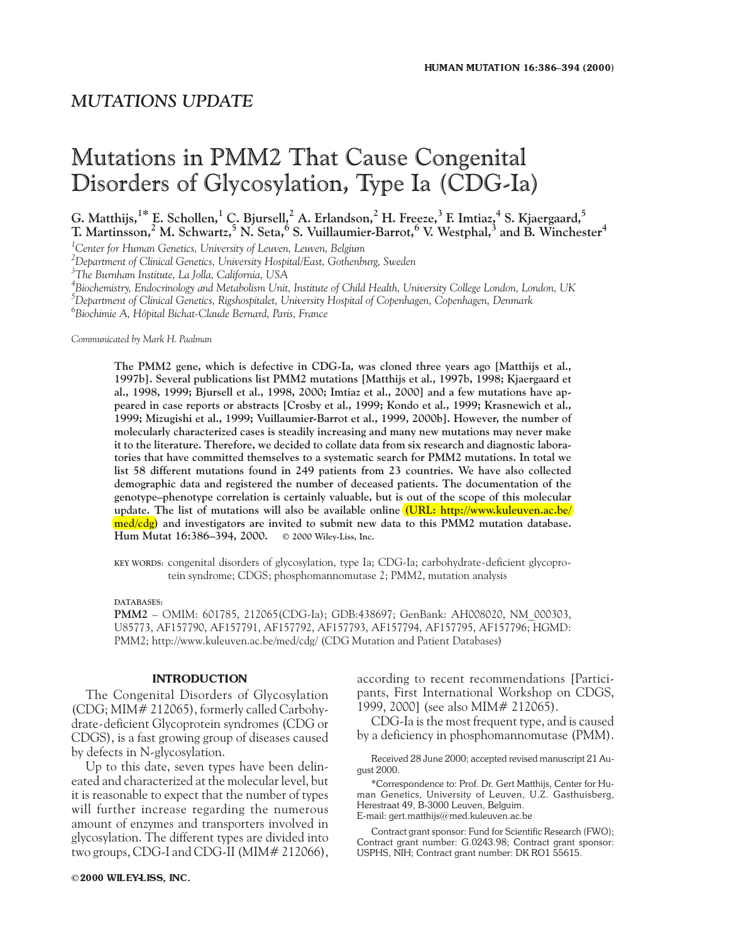# *MUTATIONS UPDATE*

# Mutations in PMM2 That Cause Congenital Disorders of Glycosylation, Type Ia (CDG-Ia)

 $\text{G. Mathijs,}^{1*} \text{ E. Schollen,}^{1} \text{ C. Bjursell,}^{2} \text{ A. Erlandson,}^{2} \text{ H. Freeze,}^{3} \text{ E. Intiaz,}^{4} \text{ S. Kjaergaard,}^{5}$ **T. Martinsson,<sup>2</sup> M. Schwartz,5 N. Seta,<sup>6</sup> S. Vuillaumier-Barrot,<sup>6</sup> V. Westphal,<sup>3</sup> and B. Winchester4**

*1 Center for Human Genetics, University of Leuven, Leuven, Belgium*

*2 Department of Clinical Genetics, University Hospital/East, Gothenburg, Sweden*

*3 The Burnham Institute, La Jolla, California, USA*

*4 Biochemistry, Endocrinology and Metabolism Unit, Institute of Child Health, University College London, London, UK*

*5 Department of Clinical Genetics, Rigshospitalet, University Hospital of Copenhagen, Copenhagen, Denmark*

*6 Biochimie A, Hôpital Bichat-Claude Bernard, Paris, France*

*Communicated by Mark H. Paalman*

**The PMM2 gene, which is defective in CDG-Ia, was cloned three years ago [Matthijs et al., 1997b]. Several publications list PMM2 mutations [Matthijs et al., 1997b, 1998; Kjaergaard et al., 1998, 1999; Bjursell et al., 1998, 2000; Imtiaz et al., 2000] and a few mutations have appeared in case reports or abstracts [Crosby et al., 1999; Kondo et al., 1999; Krasnewich et al., 1999; Mizugishi et al., 1999; Vuillaumier-Barrot et al., 1999, 2000b]. However, the number of molecularly characterized cases is steadily increasing and many new mutations may never make it to the literature. Therefore, we decided to collate data from six research and diagnostic laboratories that have committed themselves to a systematic search for PMM2 mutations. In total we list 58 different mutations found in 249 patients from 23 countries. We have also collected demographic data and registered the number of deceased patients. The documentation of the genotype–phenotype correlation is certainly valuable, but is out of the scope of this molecular update. The list of mutations will also be available online (URL: http://www.kuleuven.ac.be/ med/cdg) and investigators are invited to submit new data to this PMM2 mutation database. Hum Mutat 16:386–394, 2000. © 2000 Wiley-Liss, Inc.**

**KEY WORDS:** congenital disorders of glycosylation, type Ia; CDG-Ia; carbohydrate-deficient glycoprotein syndrome; CDGS; phosphomannomutase 2; PMM2, mutation analysis

#### **DATABASES:**

**PMM2** – OMIM: 601785, 212065(CDG-Ia); GDB:438697; GenBank: AH008020, NM\_000303, U85773, AF157790, AF157791, AF157792, AF157793, AF157794, AF157795, AF157796; HGMD: PMM2; http://www.kuleuven.ac.be/med/cdg/ (CDG Mutation and Patient Databases)

#### INTRODUCTION

The Congenital Disorders of Glycosylation (CDG; MIM# 212065), formerly called Carbohydrate-deficient Glycoprotein syndromes (CDG or CDGS), is a fast growing group of diseases caused by defects in N-glycosylation.

Up to this date, seven types have been delineated and characterized at the molecular level, but it is reasonable to expect that the number of types will further increase regarding the numerous amount of enzymes and transporters involved in glycosylation. The different types are divided into two groups, CDG-I and CDG-II (MIM# 212066),

© 2000 WILEY-LISS, INC.

according to recent recommendations [Participants, First International Workshop on CDGS, 1999, 2000] (see also MIM# 212065).

CDG-Ia is the most frequent type, and is caused by a deficiency in phosphomannomutase (PMM).

Received 28 June 2000; accepted revised manuscript 21 August 2000.

\*Correspondence to: Prof. Dr. Gert Matthijs, Center for Human Genetics, University of Leuven, U.Z. Gasthuisberg, Herestraat 49, B-3000 Leuven, Belguim. E-mail: gert.matthijs@med.kuleuven.ac.be

Contract grant sponsor: Fund for Scientific Research (FWO); Contract grant number: G.0243.98; Contract grant sponsor: USPHS, NIH; Contract grant number: DK RO1 55615.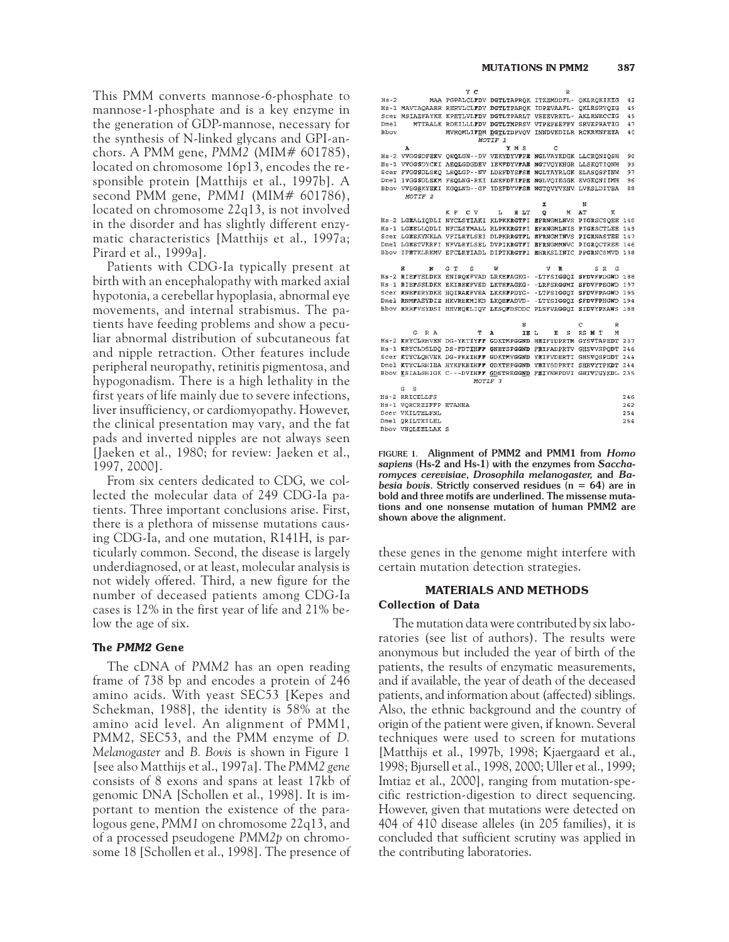This PMM converts mannose-6-phosphate to mannose-1-phosphate and is a key enzyme in the generation of GDP-mannose, necessary for the synthesis of N-linked glycans and GPI-anchors. A PMM gene, *PMM2* (MIM# 601785), located on chromosome 16p13, encodes the responsible protein [Matthijs et al., 1997b]. A second PMM gene, *PMM1* (MIM# 601786), located on chromosome 22q13, is not involved in the disorder and has slightly different enzymatic characteristics [Matthijs et al., 1997a; Pirard et al., 1999a].

Patients with CDG-Ia typically present at birth with an encephalopathy with marked axial hypotonia, a cerebellar hypoplasia, abnormal eye movements, and internal strabismus. The patients have feeding problems and show a peculiar abnormal distribution of subcutaneous fat and nipple retraction. Other features include peripheral neuropathy, retinitis pigmentosa, and hypogonadism. There is a high lethality in the first years of life mainly due to severe infections, liver insufficiency, or cardiomyopathy. However, the clinical presentation may vary, and the fat pads and inverted nipples are not always seen [Jaeken et al., 1980; for review: Jaeken et al., 1997, 2000].

From six centers dedicated to CDG, we collected the molecular data of 249 CDG-Ia patients. Three important conclusions arise. First, there is a plethora of missense mutations causing CDG-Ia, and one mutation, R141H, is particularly common. Second, the disease is largely underdiagnosed, or at least, molecular analysis is not widely offered. Third, a new figure for the number of deceased patients among CDG-Ia cases is 12% in the first year of life and 21% below the age of six.

# The PMM2 Gene

The cDNA of *PMM2* has an open reading frame of 738 bp and encodes a protein of 246 amino acids. With yeast SEC53 [Kepes and Schekman, 1988], the identity is 58% at the amino acid level. An alignment of PMM1, PMM2, SEC53, and the PMM enzyme of *D. Melanogaster* and *B. Bovis* is shown in Figure 1 [see also Matthijs et al., 1997a]. The *PMM2 gene* consists of 8 exons and spans at least 17kb of genomic DNA [Schollen et al., 1998]. It is important to mention the existence of the paralogous gene, *PMM1* on chromosome 22q13, and of a processed pseudogene *PMM2p* on chromosome 18 [Schollen et al., 1998]. The presence of

|                                                                 | YС       |            | R                 |             |                                                                                                                                                                                                                                                                                                                                                                                                                                                                                                                                                                                                                                                                                                                                                                                                                                                                                                                                                               |  |  |  |
|-----------------------------------------------------------------|----------|------------|-------------------|-------------|---------------------------------------------------------------------------------------------------------------------------------------------------------------------------------------------------------------------------------------------------------------------------------------------------------------------------------------------------------------------------------------------------------------------------------------------------------------------------------------------------------------------------------------------------------------------------------------------------------------------------------------------------------------------------------------------------------------------------------------------------------------------------------------------------------------------------------------------------------------------------------------------------------------------------------------------------------------|--|--|--|
|                                                                 |          |            |                   |             | 42                                                                                                                                                                                                                                                                                                                                                                                                                                                                                                                                                                                                                                                                                                                                                                                                                                                                                                                                                            |  |  |  |
|                                                                 |          |            |                   |             | 49                                                                                                                                                                                                                                                                                                                                                                                                                                                                                                                                                                                                                                                                                                                                                                                                                                                                                                                                                            |  |  |  |
|                                                                 |          |            |                   |             | 49                                                                                                                                                                                                                                                                                                                                                                                                                                                                                                                                                                                                                                                                                                                                                                                                                                                                                                                                                            |  |  |  |
|                                                                 |          |            |                   |             | 47                                                                                                                                                                                                                                                                                                                                                                                                                                                                                                                                                                                                                                                                                                                                                                                                                                                                                                                                                            |  |  |  |
|                                                                 |          |            |                   |             | 40                                                                                                                                                                                                                                                                                                                                                                                                                                                                                                                                                                                                                                                                                                                                                                                                                                                                                                                                                            |  |  |  |
| MOTIF 1                                                         |          |            |                   |             |                                                                                                                                                                                                                                                                                                                                                                                                                                                                                                                                                                                                                                                                                                                                                                                                                                                                                                                                                               |  |  |  |
| A                                                               |          | Y M S      | C                 |             |                                                                                                                                                                                                                                                                                                                                                                                                                                                                                                                                                                                                                                                                                                                                                                                                                                                                                                                                                               |  |  |  |
|                                                                 |          |            |                   |             | 90                                                                                                                                                                                                                                                                                                                                                                                                                                                                                                                                                                                                                                                                                                                                                                                                                                                                                                                                                            |  |  |  |
|                                                                 |          |            |                   |             | 99                                                                                                                                                                                                                                                                                                                                                                                                                                                                                                                                                                                                                                                                                                                                                                                                                                                                                                                                                            |  |  |  |
|                                                                 |          |            |                   |             | 97                                                                                                                                                                                                                                                                                                                                                                                                                                                                                                                                                                                                                                                                                                                                                                                                                                                                                                                                                            |  |  |  |
|                                                                 |          |            |                   |             | 96                                                                                                                                                                                                                                                                                                                                                                                                                                                                                                                                                                                                                                                                                                                                                                                                                                                                                                                                                            |  |  |  |
|                                                                 |          |            |                   |             | 88                                                                                                                                                                                                                                                                                                                                                                                                                                                                                                                                                                                                                                                                                                                                                                                                                                                                                                                                                            |  |  |  |
|                                                                 |          |            |                   |             |                                                                                                                                                                                                                                                                                                                                                                                                                                                                                                                                                                                                                                                                                                                                                                                                                                                                                                                                                               |  |  |  |
|                                                                 |          |            | x                 | N           |                                                                                                                                                                                                                                                                                                                                                                                                                                                                                                                                                                                                                                                                                                                                                                                                                                                                                                                                                               |  |  |  |
|                                                                 |          | r.<br>R LT | м<br>Q            | AT<br>к     |                                                                                                                                                                                                                                                                                                                                                                                                                                                                                                                                                                                                                                                                                                                                                                                                                                                                                                                                                               |  |  |  |
|                                                                 |          |            |                   |             |                                                                                                                                                                                                                                                                                                                                                                                                                                                                                                                                                                                                                                                                                                                                                                                                                                                                                                                                                               |  |  |  |
|                                                                 |          |            |                   |             |                                                                                                                                                                                                                                                                                                                                                                                                                                                                                                                                                                                                                                                                                                                                                                                                                                                                                                                                                               |  |  |  |
|                                                                 |          |            |                   |             |                                                                                                                                                                                                                                                                                                                                                                                                                                                                                                                                                                                                                                                                                                                                                                                                                                                                                                                                                               |  |  |  |
|                                                                 |          |            |                   |             |                                                                                                                                                                                                                                                                                                                                                                                                                                                                                                                                                                                                                                                                                                                                                                                                                                                                                                                                                               |  |  |  |
|                                                                 |          |            |                   |             |                                                                                                                                                                                                                                                                                                                                                                                                                                                                                                                                                                                                                                                                                                                                                                                                                                                                                                                                                               |  |  |  |
|                                                                 |          |            |                   |             |                                                                                                                                                                                                                                                                                                                                                                                                                                                                                                                                                                                                                                                                                                                                                                                                                                                                                                                                                               |  |  |  |
|                                                                 |          |            |                   |             |                                                                                                                                                                                                                                                                                                                                                                                                                                                                                                                                                                                                                                                                                                                                                                                                                                                                                                                                                               |  |  |  |
| н<br>N                                                          | G T<br>s | W          | v<br>$\mathbf{R}$ | S R<br>G    |                                                                                                                                                                                                                                                                                                                                                                                                                                                                                                                                                                                                                                                                                                                                                                                                                                                                                                                                                               |  |  |  |
| Hs-2 RIEFYELDKK ENIROKFVAD LRKEFAGKG- -LTFSIGGOI SFDVFPDGWD 188 |          |            |                   |             |                                                                                                                                                                                                                                                                                                                                                                                                                                                                                                                                                                                                                                                                                                                                                                                                                                                                                                                                                               |  |  |  |
| Hs-1 RIEFSELDKK EKIREKFVED LKTEFAGKG- -LRFSRGGMI SFDVFPEGWD 197 |          |            |                   |             |                                                                                                                                                                                                                                                                                                                                                                                                                                                                                                                                                                                                                                                                                                                                                                                                                                                                                                                                                               |  |  |  |
| Scer RNEFERYDKE HOIRAKFVEA LKKEFPDYG- -LTFSIGGOI SFDVFPAGWD 195 |          |            |                   |             |                                                                                                                                                                                                                                                                                                                                                                                                                                                                                                                                                                                                                                                                                                                                                                                                                                                                                                                                                               |  |  |  |
| Dmel RNMFAEYDIE HKVREKMIKD LKQEFADVD- -LTYSIGGQI SFDVFPHGWD 194 |          |            |                   |             |                                                                                                                                                                                                                                                                                                                                                                                                                                                                                                                                                                                                                                                                                                                                                                                                                                                                                                                                                               |  |  |  |
| Bbov RRRFVEYDSI HHVRQKLIQV LKSQFDSDDC PLSFVAGGOI SIDVYPKAWS 188 |          |            |                   |             |                                                                                                                                                                                                                                                                                                                                                                                                                                                                                                                                                                                                                                                                                                                                                                                                                                                                                                                                                               |  |  |  |
|                                                                 |          |            |                   |             |                                                                                                                                                                                                                                                                                                                                                                                                                                                                                                                                                                                                                                                                                                                                                                                                                                                                                                                                                               |  |  |  |
|                                                                 |          | S          |                   | Ċ<br>R      |                                                                                                                                                                                                                                                                                                                                                                                                                                                                                                                                                                                                                                                                                                                                                                                                                                                                                                                                                               |  |  |  |
| G<br>R A                                                        | т        | IE L<br>A  | s<br>E            | RS M T<br>М |                                                                                                                                                                                                                                                                                                                                                                                                                                                                                                                                                                                                                                                                                                                                                                                                                                                                                                                                                               |  |  |  |
| Hs-2 KRYCLRHVEN DG-YKTIYFF GDKIMPGGND HEIFTDPRTM GYSVTAPEDT 237 |          |            |                   |             |                                                                                                                                                                                                                                                                                                                                                                                                                                                                                                                                                                                                                                                                                                                                                                                                                                                                                                                                                               |  |  |  |
| HS-1 KRYCLDSLDQ DS-FDTIHFF GNETSPGGND FEIFADPRTV GHSVVSPQDT 246 |          |            |                   |             |                                                                                                                                                                                                                                                                                                                                                                                                                                                                                                                                                                                                                                                                                                                                                                                                                                                                                                                                                               |  |  |  |
| Scer KTYCLOHVEK DG-FKEIHFF GDKTMVGGND YEIFVDERTI GHSVQSPDDT 244 |          |            |                   |             |                                                                                                                                                                                                                                                                                                                                                                                                                                                                                                                                                                                                                                                                                                                                                                                                                                                                                                                                                               |  |  |  |
| Dmel KTYCLRHIEA HYKFKEIHFF GDKTEPGGND YEIYSDPRTI SHRVYTPKDT 244 |          |            |                   |             |                                                                                                                                                                                                                                                                                                                                                                                                                                                                                                                                                                                                                                                                                                                                                                                                                                                                                                                                                               |  |  |  |
| Bbov KSIALSHIGK C---DVIHFF GDNTREGGND FEIYNHPDVI GHTVTGYKDL 235 |          |            |                   |             |                                                                                                                                                                                                                                                                                                                                                                                                                                                                                                                                                                                                                                                                                                                                                                                                                                                                                                                                                               |  |  |  |
|                                                                 | MOTIF 3  |            |                   |             |                                                                                                                                                                                                                                                                                                                                                                                                                                                                                                                                                                                                                                                                                                                                                                                                                                                                                                                                                               |  |  |  |
| S<br>G                                                          |          |            |                   |             |                                                                                                                                                                                                                                                                                                                                                                                                                                                                                                                                                                                                                                                                                                                                                                                                                                                                                                                                                               |  |  |  |
| Hs-2 RRICELLFS                                                  |          |            |                   |             | 246                                                                                                                                                                                                                                                                                                                                                                                                                                                                                                                                                                                                                                                                                                                                                                                                                                                                                                                                                           |  |  |  |
| Hs-1 VORCREIFFP ETAHEA                                          |          |            |                   |             | 262                                                                                                                                                                                                                                                                                                                                                                                                                                                                                                                                                                                                                                                                                                                                                                                                                                                                                                                                                           |  |  |  |
| Scer VKILTELFNL                                                 |          |            |                   |             | 254                                                                                                                                                                                                                                                                                                                                                                                                                                                                                                                                                                                                                                                                                                                                                                                                                                                                                                                                                           |  |  |  |
| Dmel ORILTEILEL<br>Bbov VNOLEELLAK S                            |          |            |                   |             | 254                                                                                                                                                                                                                                                                                                                                                                                                                                                                                                                                                                                                                                                                                                                                                                                                                                                                                                                                                           |  |  |  |
|                                                                 | MOTIF 2  | KF CV      |                   |             | MAA PGPALCLFDV DGTLTAPRQK ITKEMDDFL- QKLRQKIKIG<br>Hs-1 MAVTAQAARR RERVLCLFDV DGTLTPAROK IDPEVAAFL- QKLRSRVQIG<br>Scer MSIAEFAYKE KPETLVLFDV DGTLTPARLT VSEEVRKTL- AKLRNKCCIG<br>MTTAALK RDEILLLFDV DGTLTMPRSV VTPEFEEFFY SRVKPRATIG<br>MVROMLIFDM DGTLTDPVOV INNDVKDILR RCKRKNFEIA<br>Hs-2 VVGGSDFEKV QEQLGN--DV VEKYDYVFPE NGLVAYKDGK LLCRQNIQSH<br>Hs-1 VVGGSDYCKI AEQLGDGDEV IEKFDYVFAE NGTVQYKHGR LLSKQTIONH<br>Scer FVGGSDLSKQ LEQLGP--NV LDEFDYSFSE NGLTAYRLGK ELASQSFINW<br>Dmel IVGGSDLEKM FEQLNG-RKI LNEFDFIFPE NGLVOIEGGK EVGKONIIMH<br>Bbov VVSGSKYEKI KGQLND--GF IDEFDYVFSE NGTOVYVKNV LVKSLDITEA<br>Hs-2 LGEALIQDLI NYCLSYIAKI KLPKKRGTFI EFRNGMLNVS PIGRSCSQEE 140<br>Hs-1 LGEELLODLI NFCLSYMALL RLPKKRGTFI EFRNGMLNIS PIGRSCTLEE 149<br>Scer LGEEKYNKLA VFILRYLSEI DLPKRRGTFL EFRNGMINVS PIGRNASTEE 147<br>Dmel LGEETVKRFI NFVLRYLSEL DVPIKRGTFI EFRNGMMNVC PIGROCTREE 146<br>Bbov IPETKLRKMV EFCLRYIADL DIPTKRGTFI EHRKSLINIC PPGRNCSMVD 138 |  |  |  |

FIGURE 1. Alignment of PMM2 and PMM1 from *Homo sapiens* (Hs-2 and Hs-1) with the enzymes from *Saccharomyces cerevisiae*, *Drosophila melanogaster,* and *Babesia bovis*. Strictly conserved residues (n = 64) are in bold and three motifs are underlined. The missense mutations and one nonsense mutation of human PMM2 are shown above the alignment.

these genes in the genome might interfere with certain mutation detection strategies.

# MATERIALS AND METHODS Collection of Data

The mutation data were contributed by six laboratories (see list of authors). The results were anonymous but included the year of birth of the patients, the results of enzymatic measurements, and if available, the year of death of the deceased patients, and information about (affected) siblings. Also, the ethnic background and the country of origin of the patient were given, if known. Several techniques were used to screen for mutations [Matthijs et al., 1997b, 1998; Kjaergaard et al., 1998; Bjursell et al., 1998, 2000; Uller et al., 1999; Imtiaz et al., 2000], ranging from mutation-specific restriction-digestion to direct sequencing. However, given that mutations were detected on 404 of 410 disease alleles (in 205 families), it is concluded that sufficient scrutiny was applied in the contributing laboratories.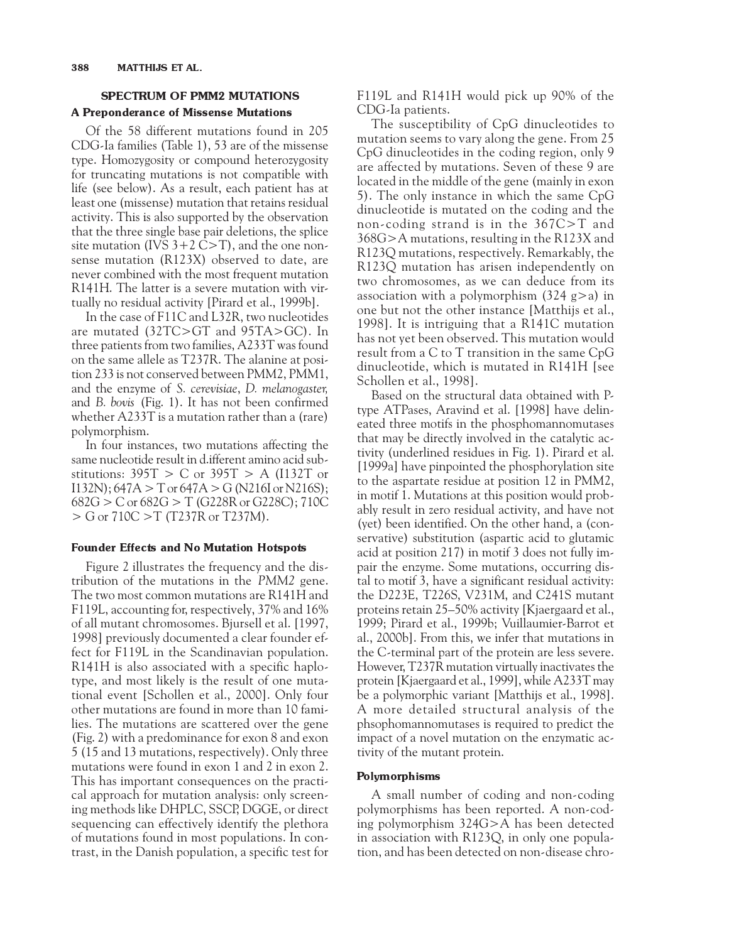# SPECTRUM OF PMM2 MUTATIONS

# A Preponderance of Missense Mutations

Of the 58 different mutations found in 205 CDG-Ia families (Table 1), 53 are of the missense type. Homozygosity or compound heterozygosity for truncating mutations is not compatible with life (see below). As a result, each patient has at least one (missense) mutation that retains residual activity. This is also supported by the observation that the three single base pair deletions, the splice site mutation (IVS  $3+2$  C>T), and the one nonsense mutation (R123X) observed to date, are never combined with the most frequent mutation R141H. The latter is a severe mutation with virtually no residual activity [Pirard et al., 1999b].

In the case of F11C and L32R, two nucleotides are mutated (32TC>GT and 95TA>GC). In three patients from two families, A233T was found on the same allele as T237R. The alanine at position 233 is not conserved between PMM2, PMM1, and the enzyme of *S. cerevisiae*, *D. melanogaster,* and *B. bovis* (Fig. 1). It has not been confirmed whether A233T is a mutation rather than a (rare) polymorphism.

In four instances, two mutations affecting the same nucleotide result in d.ifferent amino acid substitutions:  $395T > C$  or  $395T > A$  (1132T or I132N);  $647A > T$  or  $647A > G$  (N216I or N216S); 682G > C or 682G > T (G228R or G228C); 710C > G or 710C >T (T237R or T237M).

#### Founder Effects and No Mutation Hotspots

Figure 2 illustrates the frequency and the distribution of the mutations in the *PMM2* gene. The two most common mutations are R141H and F119L, accounting for, respectively, 37% and 16% of all mutant chromosomes. Bjursell et al. [1997, 1998] previously documented a clear founder effect for F119L in the Scandinavian population. R141H is also associated with a specific haplotype, and most likely is the result of one mutational event [Schollen et al., 2000]. Only four other mutations are found in more than 10 families. The mutations are scattered over the gene (Fig. 2) with a predominance for exon 8 and exon 5 (15 and 13 mutations, respectively). Only three mutations were found in exon 1 and 2 in exon 2. This has important consequences on the practical approach for mutation analysis: only screening methods like DHPLC, SSCP, DGGE, or direct sequencing can effectively identify the plethora of mutations found in most populations. In contrast, in the Danish population, a specific test for F119L and R141H would pick up 90% of the CDG-Ia patients.

The susceptibility of CpG dinucleotides to mutation seems to vary along the gene. From 25 CpG dinucleotides in the coding region, only 9 are affected by mutations. Seven of these 9 are located in the middle of the gene (mainly in exon 5). The only instance in which the same CpG dinucleotide is mutated on the coding and the non-coding strand is in the 367C>T and 368G>A mutations, resulting in the R123X and R123Q mutations, respectively. Remarkably, the R123Q mutation has arisen independently on two chromosomes, as we can deduce from its association with a polymorphism  $(324 \text{ g} > a)$  in one but not the other instance [Matthijs et al., 1998]. It is intriguing that a R141C mutation has not yet been observed. This mutation would result from a C to T transition in the same CpG dinucleotide, which is mutated in R141H [see Schollen et al., 1998].

Based on the structural data obtained with Ptype ATPases, Aravind et al. [1998] have delineated three motifs in the phosphomannomutases that may be directly involved in the catalytic activity (underlined residues in Fig. 1). Pirard et al. [1999a] have pinpointed the phosphorylation site to the aspartate residue at position 12 in PMM2, in motif 1. Mutations at this position would probably result in zero residual activity, and have not (yet) been identified. On the other hand, a (conservative) substitution (aspartic acid to glutamic acid at position 217) in motif 3 does not fully impair the enzyme. Some mutations, occurring distal to motif 3, have a significant residual activity: the D223E, T226S, V231M, and C241S mutant proteins retain 25–50% activity [Kjaergaard et al., 1999; Pirard et al., 1999b; Vuillaumier-Barrot et al., 2000b]. From this, we infer that mutations in the C-terminal part of the protein are less severe. However, T237R mutation virtually inactivates the protein [Kjaergaard et al., 1999], while A233T may be a polymorphic variant [Matthijs et al., 1998]. A more detailed structural analysis of the phsophomannomutases is required to predict the impact of a novel mutation on the enzymatic activity of the mutant protein.

#### Polymorphisms

A small number of coding and non-coding polymorphisms has been reported. A non-coding polymorphism 324G>A has been detected in association with R123Q, in only one population, and has been detected on non-disease chro-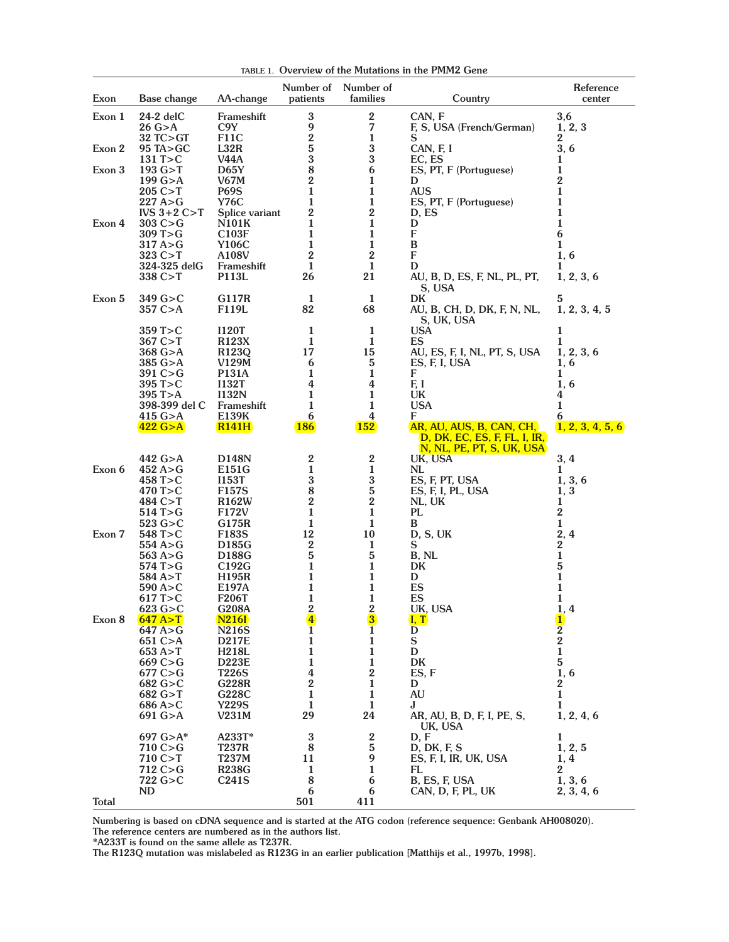| Exon         | <b>Base change</b>               | AA-change                          | Number of<br>patients   | Number of<br>families              | Country                                                                               | Reference<br>center              |
|--------------|----------------------------------|------------------------------------|-------------------------|------------------------------------|---------------------------------------------------------------------------------------|----------------------------------|
| Exon 1       | 24-2 delC<br>$26$ G $>$ A        | Frameshift<br>C9Y                  | $\bf 3$<br>9            | $\bf 2$<br>$\overline{\mathbf{z}}$ | CAN, F<br>F, S, USA (French/German)                                                   | 3,6<br>1, 2, 3                   |
| Exon 2       | 32 TC>GT<br>$95$ TA $>$ GC       | <b>F11C</b><br>L32R                | $\overline{2}$<br>5     | $\mathbf{1}$<br>$\bf 3$            | S<br>CAN, F, I                                                                        | $\boldsymbol{2}$<br>3, 6         |
|              | 131 T > C                        | <b>V44A</b>                        | 3                       | $\bf 3$                            | EC, ES                                                                                | 1                                |
| Exon 3       | 193 G > T                        | <b>D65Y</b>                        | 8                       | 6                                  | ES, PT, F (Portuguese)                                                                | 1                                |
|              | 199 $G>A$<br>205 C > T           | V67M<br><b>P69S</b>                | 2<br>1                  | 1<br>$\mathbf{1}$                  | D<br><b>AUS</b>                                                                       | $\overline{2}$<br>1              |
|              | 227 A > G                        | <b>Y76C</b>                        | $\mathbf{1}$            | $\mathbf{1}$                       | ES, PT, F (Portuguese)                                                                | 1                                |
|              | $IVS$ 3+2 C>T                    | Splice variant                     | 2                       | $\boldsymbol{2}$                   | D. ES                                                                                 | 1                                |
| Exon 4       | 303C > G                         | <b>N101K</b>                       | $\mathbf{1}$            | $\mathbf{1}$                       | D                                                                                     | 1                                |
|              | 309 T > G<br>317A > G            | <b>C103F</b><br>Y106C              | 1<br>$\mathbf{1}$       | $\mathbf{1}$<br>$\mathbf{1}$       | ${\bf F}$<br>B                                                                        | 6<br>1                           |
|              | 323 $C>T$                        | A108V                              | $\boldsymbol{2}$        | $\boldsymbol{2}$                   | $\boldsymbol{\mathsf{F}}$                                                             | 1, 6                             |
|              | 324-325 delG                     | Frameshift                         | $\mathbf{1}$            | 1                                  | D                                                                                     | 1                                |
|              | $338$ C $>$ T                    | <b>P113L</b>                       | 26                      | 21                                 | AU, B, D, ES, F, NL, PL, PT,<br>S, USA                                                | 1, 2, 3, 6                       |
| Exon 5       | $349$ G $ > C$<br>357 C > A      | <b>G117R</b><br>F119L              | 1<br>82                 | 1<br>68                            | DK<br>AU, B, CH, D, DK, F, N, NL,<br>S, UK, USA                                       | 5<br>1, 2, 3, 4, 5               |
|              | 359 T > C                        | <b>I120T</b>                       | 1                       | $\mathbf{1}$                       | <b>USA</b>                                                                            | $\mathbf{1}$                     |
|              | $367$ C $>$ T                    | <b>R123X</b>                       | 1                       | $\mathbf{1}$                       | <b>ES</b>                                                                             | 1                                |
|              | $368$ G $> A$<br>385 G>A         | <b>R123Q</b><br>V129M              | 17<br>6                 | 15<br>5                            | AU, ES, F, I, NL, PT, S, USA<br>ES, F, I, USA                                         | 1, 2, 3, 6<br>1, 6               |
|              | 391 C > G                        | <b>P131A</b>                       | 1                       | $\mathbf{1}$                       | F                                                                                     | 1                                |
|              | 395 $T>C$                        | <b>I132T</b>                       | 4                       | 4                                  | F, I                                                                                  | 1, 6                             |
|              | 395 T>A                          | <b>I132N</b>                       | 1<br>1                  | $\mathbf{1}$<br>$\mathbf{1}$       | UK<br><b>USA</b>                                                                      | 4<br>$\mathbf{1}$                |
|              | 398-399 del C<br>$415$ G $>A$    | Frameshift<br><b>E139K</b>         | 6                       | 4                                  | F                                                                                     | 6                                |
|              | $422$ G $>$ A                    | <b>R141H</b>                       | <b>186</b>              | <b>152</b>                         | AR, AU, AUS, B, CAN, CH,<br>D, DK, EC, ES, F, FL, I, IR,<br>N, NL, PE, PT, S, UK, USA | 1, 2, 3, 4, 5, 6                 |
|              | 442 G>A                          | <b>D148N</b>                       | $\boldsymbol{2}$        | $\boldsymbol{2}$                   | UK, USA                                                                               | 3, 4                             |
| Exon 6       | 452 $A > G$                      | E151G                              | 1                       | $\mathbf{1}$                       | <b>NL</b>                                                                             | 1                                |
|              | 458 T>C                          | <b>I153T</b>                       | 3                       | $\bf 3$                            | ES, F, PT, USA                                                                        | 1, 3, 6                          |
|              | 470 $T > C$<br>484 C>T           | <b>F157S</b><br>R <sub>162</sub> W | 8<br>2                  | ${\bf 5}$<br>$\bf 2$               | ES, F, I, PL, USA<br>NL, UK                                                           | 1, 3<br>1                        |
|              | $514$ T>G                        | F172V                              | $\mathbf{1}$            | $\mathbf{1}$                       | PL                                                                                    | $\boldsymbol{2}$                 |
|              | $523 \text{ G} > C$              | <b>G175R</b>                       | 1                       | 1                                  | B                                                                                     | $\mathbf{1}$                     |
| Exon 7       | 548 T>C<br>554A > G              | <b>F183S</b><br>D185G              | 12<br>2                 | 10<br>1                            | D, S, UK<br>S                                                                         | 2, 4<br>$\boldsymbol{2}$         |
|              | $563$ A $>$ G                    | <b>D188G</b>                       | $\mathbf 5$             | 5                                  | B, NL                                                                                 | $\mathbf{1}$                     |
|              | 574 T>G                          | C192G                              | 1                       | $\mathbf{1}$                       | DK                                                                                    | 5                                |
|              | 584 A>T                          | <b>H195R</b>                       | 1                       | $\mathbf{1}$                       | D                                                                                     | 1                                |
|              | 590 A>C<br>617 T>C               | E197A<br><b>F206T</b>              | 1<br>1                  | 1<br>$\mathbf{1}$                  | ES<br>ES                                                                              | 1<br>1                           |
|              | $623 \text{ G} > C$              | <b>G208A</b>                       | $\overline{2}$          | $\overline{2}$                     | UK, USA                                                                               | 1.4                              |
| Exon 8       | $647$ A>T                        | <b>N216I</b>                       | $\overline{\mathbf{4}}$ | $\overline{\mathbf{3}}$            | I, T                                                                                  | $\mathbf{1}$                     |
|              | $647$ A $>$ G<br>651 C > A       | <b>N216S</b><br><b>D217E</b>       | $\mathbf{I}$<br>1       | $\overline{1}$<br>1                | D<br>${\mathbf S}$                                                                    | $\overline{2}$<br>$\bf 2$        |
|              | 653 A > T                        | <b>H218L</b>                       | 1                       | $\mathbf{1}$                       | D                                                                                     | $\mathbf{1}$                     |
|              | 669 C > G                        | <b>D223E</b>                       | 1                       | $\mathbf{1}$                       | DK                                                                                    | ${\bf 5}$                        |
|              | 677 C > G                        | <b>T226S</b>                       | 4                       | $\bf 2$                            | ES, F                                                                                 | 1, 6                             |
|              | 682 G>C<br>$682$ G>T             | <b>G228R</b><br>G228C              | $\boldsymbol{2}$<br>1   | $\mathbf{1}$<br>$\mathbf{1}$       | D<br>AU                                                                               | $\boldsymbol{2}$<br>$\mathbf{1}$ |
|              | 686 A > C                        | <b>Y229S</b>                       | 1                       | $\mathbf{1}$                       | J                                                                                     | 1                                |
|              | 691 G>A                          | V231M                              | 29                      | 24                                 | AR, AU, B, D, F, I, PE, S,<br>UK, USA                                                 | 1, 2, 4, 6                       |
|              | 697 G>A*                         | A233T*                             | 3                       | $\boldsymbol{2}$                   | D, F                                                                                  | 1                                |
|              | $710 \text{ C} > G$<br>710 C > T | <b>T237R</b><br><b>T237M</b>       | 8<br>11                 | $\overline{5}$<br>9                | D, DK, F, S<br>ES, F, I, IR, UK, USA                                                  | 1, 2, 5<br>1, 4                  |
|              | 712 C > G                        | <b>R238G</b>                       | 1                       | $\mathbf{1}$                       | FL                                                                                    | $\boldsymbol{2}$                 |
|              | 722 G>C                          | C241S                              | 8                       | 6                                  | B, ES, F, USA                                                                         | 1, 3, 6                          |
|              | <b>ND</b>                        |                                    | 6                       | 6<br>411                           | CAN, D, F, PL, UK                                                                     | 2, 3, 4, 6                       |
| <b>Total</b> |                                  |                                    | 501                     |                                    |                                                                                       |                                  |

TABLE 1. Overview of the Mutations in the PMM2 Gene

Numbering is based on cDNA sequence and is started at the ATG codon (reference sequence: Genbank AH008020). The reference centers are numbered as in the authors list.

\*A233T is found on the same allele as T237R.

The R123Q mutation was mislabeled as R123G in an earlier publication [Matthijs et al., 1997b, 1998].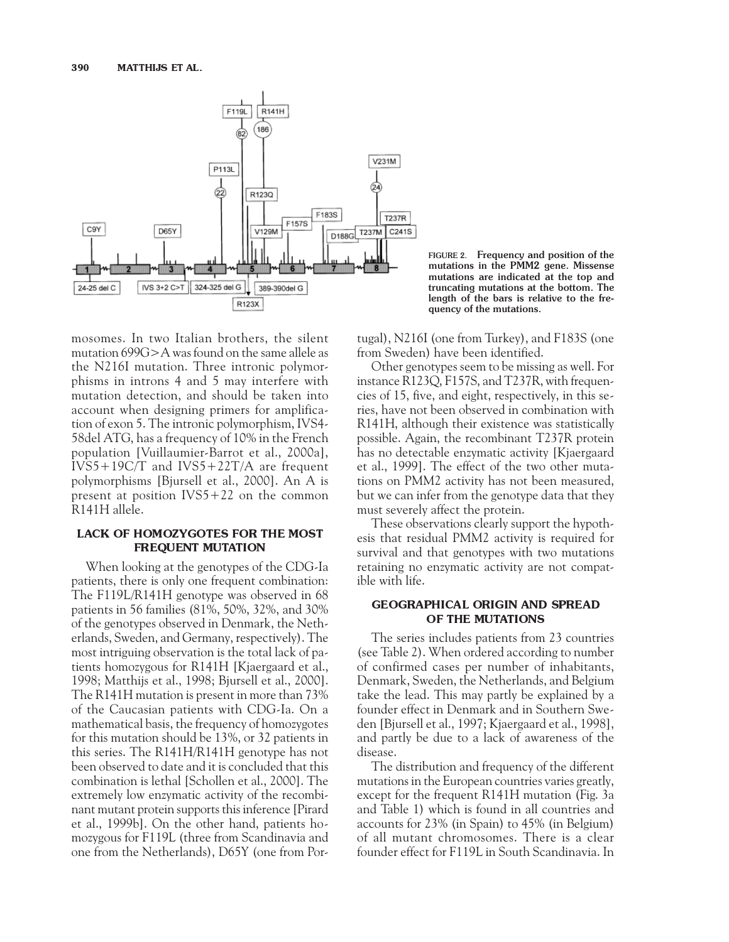

FIGURE 2. Frequency and position of the mutations in the PMM2 gene. Missense mutations are indicated at the top and truncating mutations at the bottom. The length of the bars is relative to the frequency of the mutations.

mosomes. In two Italian brothers, the silent mutation 699G>A was found on the same allele as the N216I mutation. Three intronic polymorphisms in introns 4 and 5 may interfere with mutation detection, and should be taken into account when designing primers for amplification of exon 5. The intronic polymorphism, IVS4- 58del ATG, has a frequency of 10% in the French population [Vuillaumier-Barrot et al., 2000a], IVS5+19C/T and IVS5+22T/A are frequent polymorphisms [Bjursell et al., 2000]. An A is present at position IVS5+22 on the common R141H allele.

## LACK OF HOMOZYGOTES FOR THE MOST FREQUENT MUTATION

When looking at the genotypes of the CDG-Ia patients, there is only one frequent combination: The F119L/R141H genotype was observed in 68 patients in 56 families (81%, 50%, 32%, and 30% of the genotypes observed in Denmark, the Netherlands, Sweden, and Germany, respectively). The most intriguing observation is the total lack of patients homozygous for R141H [Kjaergaard et al., 1998; Matthijs et al., 1998; Bjursell et al., 2000]. The R141H mutation is present in more than 73% of the Caucasian patients with CDG-Ia. On a mathematical basis, the frequency of homozygotes for this mutation should be 13%, or 32 patients in this series. The R141H/R141H genotype has not been observed to date and it is concluded that this combination is lethal [Schollen et al., 2000]. The extremely low enzymatic activity of the recombinant mutant protein supports this inference [Pirard et al., 1999b]. On the other hand, patients homozygous for F119L (three from Scandinavia and one from the Netherlands), D65Y (one from Portugal), N216I (one from Turkey), and F183S (one from Sweden) have been identified.

Other genotypes seem to be missing as well. For instance R123Q, F157S, and T237R, with frequencies of 15, five, and eight, respectively, in this series, have not been observed in combination with R141H, although their existence was statistically possible. Again, the recombinant T237R protein has no detectable enzymatic activity [Kjaergaard et al., 1999]. The effect of the two other mutations on PMM2 activity has not been measured, but we can infer from the genotype data that they must severely affect the protein.

These observations clearly support the hypothesis that residual PMM2 activity is required for survival and that genotypes with two mutations retaining no enzymatic activity are not compatible with life.

#### GEOGRAPHICAL ORIGIN AND SPREAD OF THE MUTATIONS

The series includes patients from 23 countries (see Table 2). When ordered according to number of confirmed cases per number of inhabitants, Denmark, Sweden, the Netherlands, and Belgium take the lead. This may partly be explained by a founder effect in Denmark and in Southern Sweden [Bjursell et al., 1997; Kjaergaard et al., 1998], and partly be due to a lack of awareness of the disease.

The distribution and frequency of the different mutations in the European countries varies greatly, except for the frequent R141H mutation (Fig. 3a and Table 1) which is found in all countries and accounts for 23% (in Spain) to 45% (in Belgium) of all mutant chromosomes. There is a clear founder effect for F119L in South Scandinavia. In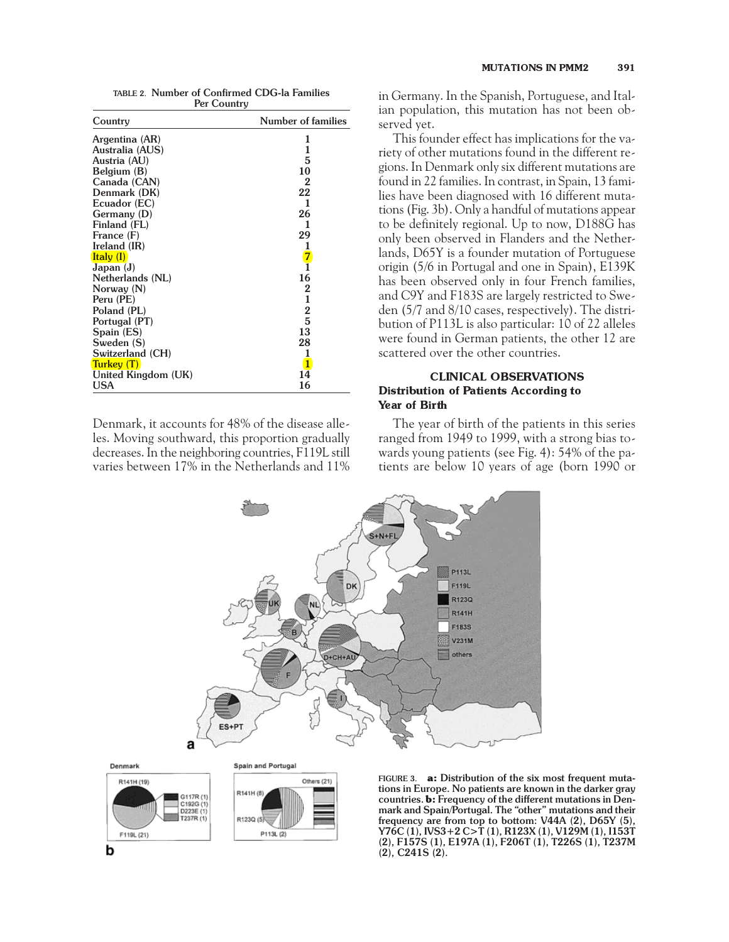TABLE 2. Number of Confirmed CDG-la Families Per Country

| Country             | Number of families |
|---------------------|--------------------|
| Argentina (AR)      | 1                  |
| Australia (AUS)     | 1                  |
| Austria (AU)        | 5                  |
| Belgium (B)         | 10                 |
| Canada (CAN)        | 2                  |
| Denmark (DK)        | 22                 |
| Ecuador (EC)        | 1                  |
| Germany (D)         | 26                 |
| Finland (FL)        | 1                  |
| France (F)          | 29                 |
| Ireland (IR)        |                    |
| Italy $(I)$         | $\frac{1}{7}$      |
| Japan (J)           |                    |
| Netherlands (NL)    | 16                 |
| Norway (N)          | $\mathbf 2$        |
| Peru (PE)           | $\mathbf{1}$       |
| Poland (PL)         | $\overline{2}$     |
| Portugal (PT)       | $\overline{5}$     |
| Spain (ES)          | 13                 |
| Sweden (S)          | 28                 |
| Switzerland (CH)    | 1                  |
| Turkey (T)          | $\mathbf{1}$       |
| United Kingdom (UK) | 14                 |
| <b>USA</b>          | 16                 |

Denmark, it accounts for 48% of the disease alleles. Moving southward, this proportion gradually decreases. In the neighboring countries, F119L still varies between 17% in the Netherlands and 11% in Germany. In the Spanish, Portuguese, and Italian population, this mutation has not been observed yet.

This founder effect has implications for the variety of other mutations found in the different regions. In Denmark only six different mutations are found in 22 families. In contrast, in Spain, 13 families have been diagnosed with 16 different mutations (Fig. 3b). Only a handful of mutations appear to be definitely regional. Up to now, D188G has only been observed in Flanders and the Netherlands, D65Y is a founder mutation of Portuguese origin (5/6 in Portugal and one in Spain), E139K has been observed only in four French families, and C9Y and F183S are largely restricted to Sweden (5/7 and 8/10 cases, respectively). The distribution of P113L is also particular: 10 of 22 alleles were found in German patients, the other 12 are scattered over the other countries.

# CLINICAL OBSERVATIONS Distribution of Patients According to Year of Birth

The year of birth of the patients in this series ranged from 1949 to 1999, with a strong bias towards young patients (see Fig. 4): 54% of the patients are below 10 years of age (born 1990 or



Others (21)



FIGURE 3. **a:** Distribution of the six most frequent mutations in Europe. No patients are known in the darker gray countries. **b:** Frequency of the different mutations in Denmark and Spain/Portugal. The "other" mutations and their frequency are from top to bottom: V44A (2), D65Y (5), Y76C (1), IVS3+2 C>T (1), R123X (1), V129M (1), I153T (2), F157S (1), E197A (1), F206T (1), T226S (1), T237M (2), C241S (2).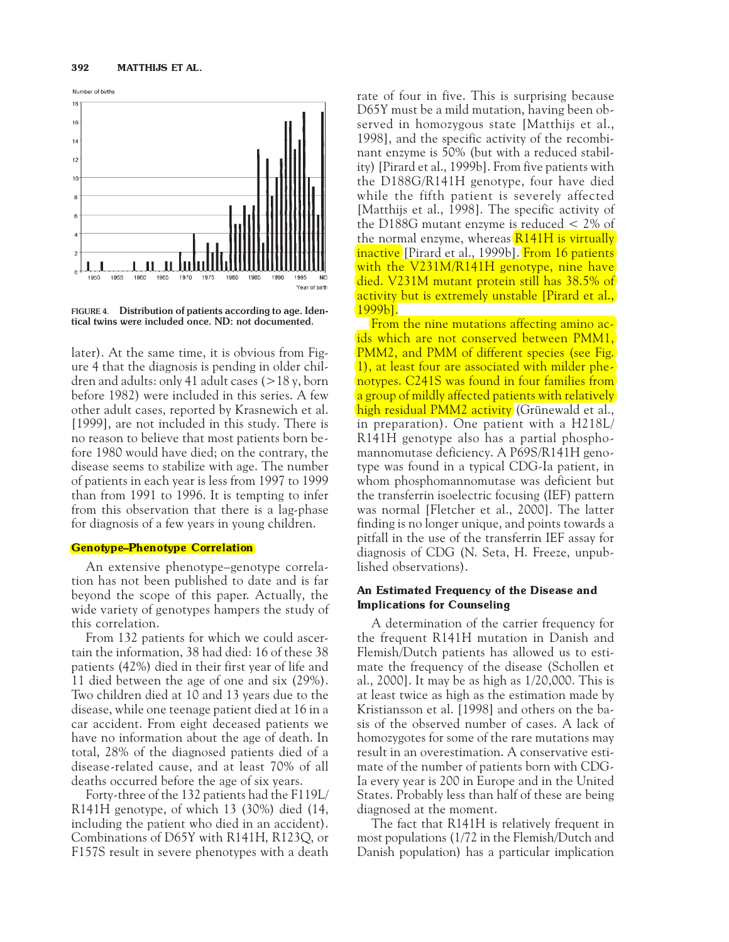



FIGURE 4. Distribution of patients according to age. Identical twins were included once. ND: not documented.

later). At the same time, it is obvious from Figure 4 that the diagnosis is pending in older children and adults: only 41 adult cases  $(>18 \text{ y}, \text{born})$ before 1982) were included in this series. A few other adult cases, reported by Krasnewich et al. [1999], are not included in this study. There is no reason to believe that most patients born before 1980 would have died; on the contrary, the disease seems to stabilize with age. The number of patients in each year is less from 1997 to 1999 than from 1991 to 1996. It is tempting to infer from this observation that there is a lag-phase for diagnosis of a few years in young children.

#### **Genotype-Phenotype Correlation**

An extensive phenotype–genotype correlation has not been published to date and is far beyond the scope of this paper. Actually, the wide variety of genotypes hampers the study of this correlation.

From 132 patients for which we could ascertain the information, 38 had died: 16 of these 38 patients (42%) died in their first year of life and 11 died between the age of one and six (29%). Two children died at 10 and 13 years due to the disease, while one teenage patient died at 16 in a car accident. From eight deceased patients we have no information about the age of death. In total, 28% of the diagnosed patients died of a disease-related cause, and at least 70% of all deaths occurred before the age of six years.

Forty-three of the 132 patients had the F119L/ R141H genotype, of which 13 (30%) died (14, including the patient who died in an accident). Combinations of D65Y with R141H, R123Q, or F157S result in severe phenotypes with a death

rate of four in five. This is surprising because D65Y must be a mild mutation, having been observed in homozygous state [Matthijs et al., 1998], and the specific activity of the recombinant enzyme is 50% (but with a reduced stability) [Pirard et al., 1999b]. From five patients with the D188G/R141H genotype, four have died while the fifth patient is severely affected [Matthijs et al., 1998]. The specific activity of the D188G mutant enzyme is reduced < 2% of the normal enzyme, whereas **R141H** is virtually inactive [Pirard et al., 1999b]. From 16 patients with the V231M/R141H genotype, nine have died. V231M mutant protein still has 38.5% of activity but is extremely unstable [Pirard et al., 1999b].

From the nine mutations affecting amino acids which are not conserved between PMM1, PMM2, and PMM of different species (see Fig. 1), at least four are associated with milder phenotypes. C241S was found in four families from a group of mildly affected patients with relatively high residual PMM2 activity (Grünewald et al., in preparation). One patient with a H218L/ R141H genotype also has a partial phosphomannomutase deficiency. A P69S/R141H genotype was found in a typical CDG-Ia patient, in whom phosphomannomutase was deficient but the transferrin isoelectric focusing (IEF) pattern was normal [Fletcher et al., 2000]. The latter finding is no longer unique, and points towards a pitfall in the use of the transferrin IEF assay for diagnosis of CDG (N. Seta, H. Freeze, unpublished observations).

# An Estimated Frequency of the Disease and Implications for Counseling

A determination of the carrier frequency for the frequent R141H mutation in Danish and Flemish/Dutch patients has allowed us to estimate the frequency of the disease (Schollen et al., 2000]. It may be as high as 1/20,000. This is at least twice as high as the estimation made by Kristiansson et al. [1998] and others on the basis of the observed number of cases. A lack of homozygotes for some of the rare mutations may result in an overestimation. A conservative estimate of the number of patients born with CDG-Ia every year is 200 in Europe and in the United States. Probably less than half of these are being diagnosed at the moment.

The fact that R141H is relatively frequent in most populations (1/72 in the Flemish/Dutch and Danish population) has a particular implication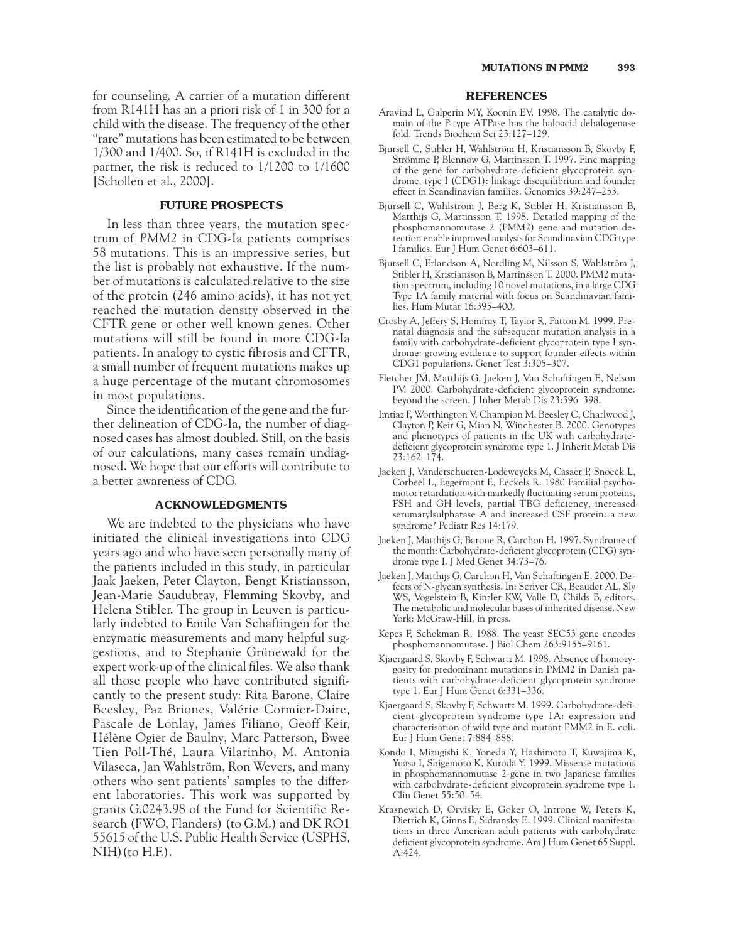for counseling. A carrier of a mutation different from R141H has an a priori risk of 1 in 300 for a child with the disease. The frequency of the other "rare" mutations has been estimated to be between 1/300 and 1/400. So, if R141H is excluded in the partner, the risk is reduced to 1/1200 to 1/1600 [Schollen et al., 2000].

## FUTURE PROSPECTS

In less than three years, the mutation spectrum of *PMM2* in CDG-Ia patients comprises 58 mutations. This is an impressive series, but the list is probably not exhaustive. If the number of mutations is calculated relative to the size of the protein (246 amino acids), it has not yet reached the mutation density observed in the CFTR gene or other well known genes. Other mutations will still be found in more CDG-Ia patients. In analogy to cystic fibrosis and CFTR, a small number of frequent mutations makes up a huge percentage of the mutant chromosomes in most populations.

Since the identification of the gene and the further delineation of CDG-Ia, the number of diagnosed cases has almost doubled. Still, on the basis of our calculations, many cases remain undiagnosed. We hope that our efforts will contribute to a better awareness of CDG.

#### ACKNOWLEDGMENTS

We are indebted to the physicians who have initiated the clinical investigations into CDG years ago and who have seen personally many of the patients included in this study, in particular Jaak Jaeken, Peter Clayton, Bengt Kristiansson, Jean-Marie Saudubray, Flemming Skovby, and Helena Stibler. The group in Leuven is particularly indebted to Emile Van Schaftingen for the enzymatic measurements and many helpful suggestions, and to Stephanie Grünewald for the expert work-up of the clinical files. We also thank all those people who have contributed significantly to the present study: Rita Barone, Claire Beesley, Paz Briones, Valérie Cormier-Daire, Pascale de Lonlay, James Filiano, Geoff Keir, Hélène Ogier de Baulny, Marc Patterson, Bwee Tien Poll-Thé, Laura Vilarinho, M. Antonia Vilaseca, Jan Wahlström, Ron Wevers, and many others who sent patients' samples to the different laboratories. This work was supported by grants G.0243.98 of the Fund for Scientific Research (FWO, Flanders) (to G.M.) and DK RO1 55615 of the U.S. Public Health Service (USPHS,  $NIH)$ (to  $H.F.$ ).

#### **REFERENCES**

- Aravind L, Galperin MY, Koonin EV. 1998. The catalytic domain of the P-type ATPase has the haloacid dehalogenase fold. Trends Biochem Sci 23:127–129.
- Bjursell C, Stibler H, Wahlström H, Kristiansson B, Skovby F, Strömme P, Blennow G, Martinsson T. 1997. Fine mapping of the gene for carbohydrate-deficient glycoprotein syndrome, type I (CDG1): linkage disequilibrium and founder effect in Scandinavian families. Genomics 39:247–253.
- Bjursell C, Wahlstrom J, Berg K, Stibler H, Kristiansson B, Matthijs G, Martinsson T. 1998. Detailed mapping of the phosphomannomutase 2 (PMM2) gene and mutation detection enable improved analysis for Scandinavian CDG type I families. Eur J Hum Genet 6:603–611.
- Bjursell C, Erlandson A, Nordling M, Nilsson S, Wahlström J, Stibler H, Kristiansson B, Martinsson T. 2000. PMM2 mutation spectrum, including 10 novel mutations, in a large CDG Type 1A family material with focus on Scandinavian families. Hum Mutat 16:395–400.
- Crosby A, Jeffery S, Homfray T, Taylor R, Patton M. 1999. Prenatal diagnosis and the subsequent mutation analysis in a family with carbohydrate-deficient glycoprotein type I syndrome: growing evidence to support founder effects within CDG1 populations. Genet Test 3:305–307.
- Fletcher JM, Matthijs G, Jaeken J, Van Schaftingen E, Nelson PV. 2000. Carbohydrate-deficient glycoprotein syndrome: beyond the screen. J Inher Metab Dis 23:396–398.
- Imtiaz F, Worthington V, Champion M, Beesley C, Charlwood J, Clayton P, Keir G, Mian N, Winchester B. 2000. Genotypes and phenotypes of patients in the UK with carbohydratedeficient glycoprotein syndrome type 1. J Inherit Metab Dis 23:162–174.
- Jaeken J, Vanderschueren-Lodeweycks M, Casaer P, Snoeck L, Corbeel L, Eggermont E, Eeckels R. 1980 Familial psychomotor retardation with markedly fluctuating serum proteins, FSH and GH levels, partial TBG deficiency, increased serumarylsulphatase A and increased CSF protein: a new syndrome? Pediatr Res 14:179.
- Jaeken J, Matthijs G, Barone R, Carchon H. 1997. Syndrome of the month: Carbohydrate-deficient glycoprotein (CDG) syndrome type I. J Med Genet 34:73–76.
- Jaeken J, Matthijs G, Carchon H, Van Schaftingen E. 2000. Defects of N-glycan synthesis. In: Scriver CR, Beaudet AL, Sly WS, Vogelstein B, Kinzler KW, Valle D, Childs B, editors. The metabolic and molecular bases of inherited disease. New York: McGraw-Hill, in press.
- Kepes F, Schekman R. 1988. The yeast SEC53 gene encodes phosphomannomutase. J Biol Chem 263:9155–9161.
- Kjaergaard S, Skovby F, Schwartz M. 1998. Absence of homozygosity for predominant mutations in PMM2 in Danish patients with carbohydrate-deficient glycoprotein syndrome type 1. Eur J Hum Genet 6:331–336.
- Kjaergaard S, Skovby F, Schwartz M. 1999. Carbohydrate-deficient glycoprotein syndrome type 1A: expression and characterisation of wild type and mutant PMM2 in E. coli. Eur J Hum Genet 7:884–888.
- Kondo I, Mizugishi K, Yoneda Y, Hashimoto T, Kuwajima K, Yuasa I, Shigemoto K, Kuroda Y. 1999. Missense mutations in phosphomannomutase 2 gene in two Japanese families with carbohydrate-deficient glycoprotein syndrome type 1. Clin Genet 55:50–54.
- Krasnewich D, Orvisky E, Goker O, Introne W, Peters K, Dietrich K, Ginns E, Sidransky E. 1999. Clinical manifestations in three American adult patients with carbohydrate deficient glycoprotein syndrome. Am J Hum Genet 65 Suppl. A:424.